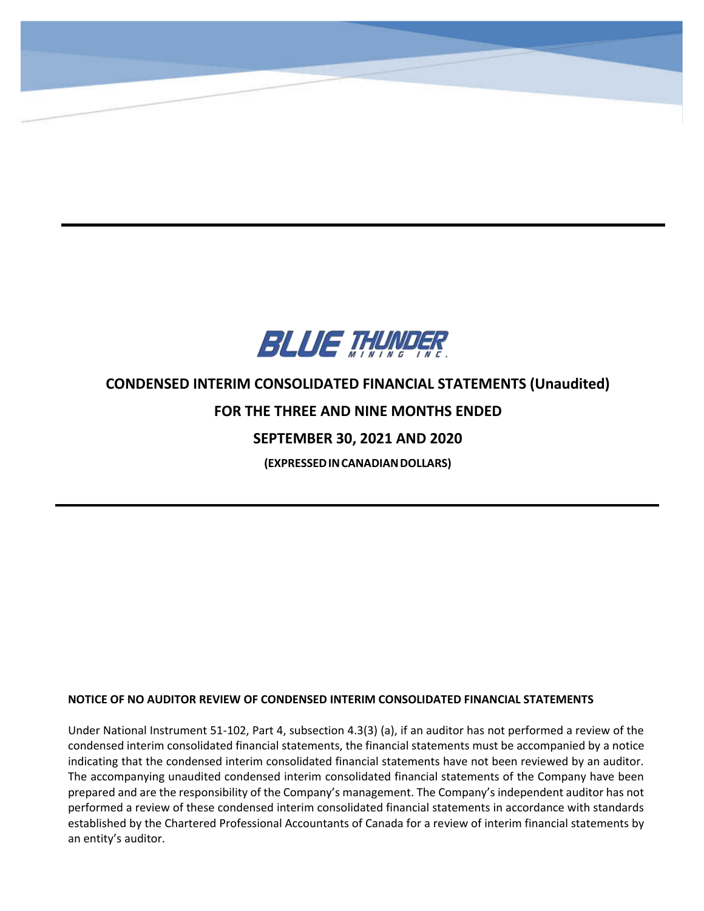

**CONDENSED INTERIM CONSOLIDATED STATEMENTS OF FINANCIAL POSITION**

**(Expressed in Canadian Dollars)**

-

# **CONDENSED INTERIM CONSOLIDATED FINANCIAL STATEMENTS (Unaudited)**

# **FOR THE THREE AND NINE MONTHS ENDED**

# **SEPTEMBER 30, 2021 AND 2020**

**(EXPRESSEDINCANADIANDOLLARS)**

# **NOTICE OF NO AUDITOR REVIEW OF CONDENSED INTERIM CONSOLIDATED FINANCIAL STATEMENTS**

Under National Instrument 51-102, Part 4, subsection 4.3(3) (a), if an auditor has not performed a review of the condensed interim consolidated financial statements, the financial statements must be accompanied by a notice indicating that the condensed interim consolidated financial statements have not been reviewed by an auditor. The accompanying unaudited condensed interim consolidated financial statements of the Company have been prepared and are the responsibility of the Company's management. The Company's independent auditor has not performed a review of these condensed interim consolidated financial statements in accordance with standards established by the Chartered Professional Accountants of Canada for a review of interim financial statements by an entity's auditor.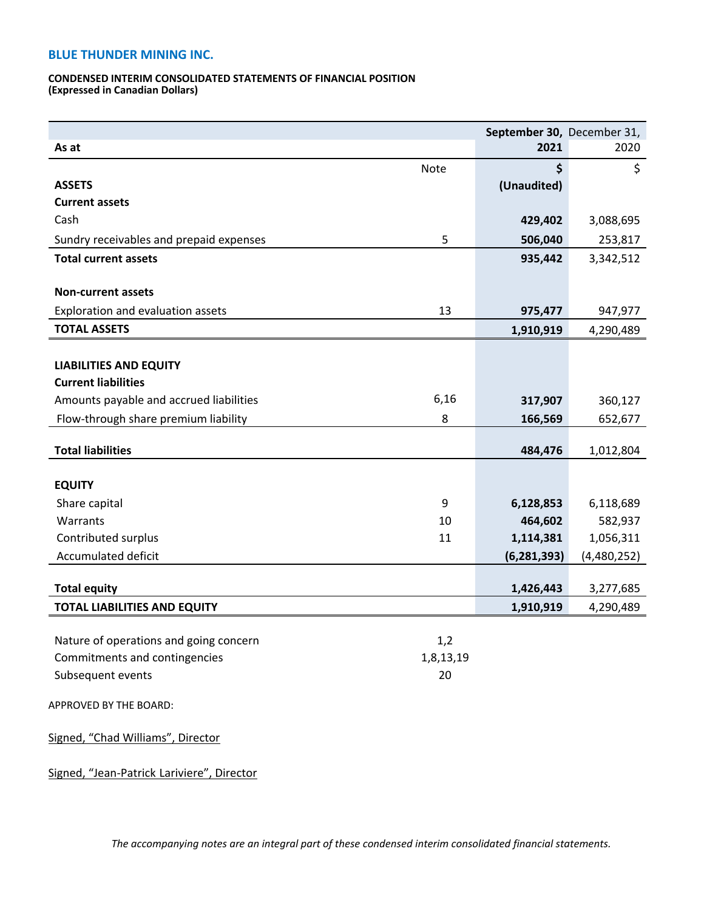#### **CONDENSED INTERIM CONSOLIDATED STATEMENTS OF FINANCIAL POSITION (Expressed in Canadian Dollars)**

|                                         |           | September 30, December 31, |             |
|-----------------------------------------|-----------|----------------------------|-------------|
| As at                                   |           | 2021                       | 2020        |
|                                         | Note      | \$                         | \$          |
| <b>ASSETS</b>                           |           | (Unaudited)                |             |
| <b>Current assets</b>                   |           |                            |             |
| Cash                                    |           | 429,402                    | 3,088,695   |
| Sundry receivables and prepaid expenses | 5         | 506,040                    | 253,817     |
| <b>Total current assets</b>             |           | 935,442                    | 3,342,512   |
|                                         |           |                            |             |
| <b>Non-current assets</b>               |           |                            |             |
| Exploration and evaluation assets       | 13        | 975,477                    | 947,977     |
| <b>TOTAL ASSETS</b>                     |           | 1,910,919                  | 4,290,489   |
|                                         |           |                            |             |
| <b>LIABILITIES AND EQUITY</b>           |           |                            |             |
| <b>Current liabilities</b>              |           |                            |             |
| Amounts payable and accrued liabilities | 6,16      | 317,907                    | 360,127     |
| Flow-through share premium liability    | 8         | 166,569                    | 652,677     |
|                                         |           |                            |             |
| <b>Total liabilities</b>                |           | 484,476                    | 1,012,804   |
| <b>EQUITY</b>                           |           |                            |             |
| Share capital                           | 9         | 6,128,853                  | 6,118,689   |
| Warrants                                | 10        | 464,602                    | 582,937     |
| Contributed surplus                     | 11        | 1,114,381                  | 1,056,311   |
| Accumulated deficit                     |           | (6, 281, 393)              | (4,480,252) |
|                                         |           |                            |             |
| <b>Total equity</b>                     |           | 1,426,443                  | 3,277,685   |
| <b>TOTAL LIABILITIES AND EQUITY</b>     |           | 1,910,919                  | 4,290,489   |
|                                         |           |                            |             |
| Nature of operations and going concern  | 1,2       |                            |             |
| Commitments and contingencies           | 1,8,13,19 |                            |             |
| Subsequent events                       | 20        |                            |             |
| APPROVED BY THE BOARD:                  |           |                            |             |
|                                         |           |                            |             |
| Signed, "Chad Williams", Director       |           |                            |             |
|                                         |           |                            |             |
|                                         |           |                            |             |

Signed, "Jean-Patrick Lariviere", Director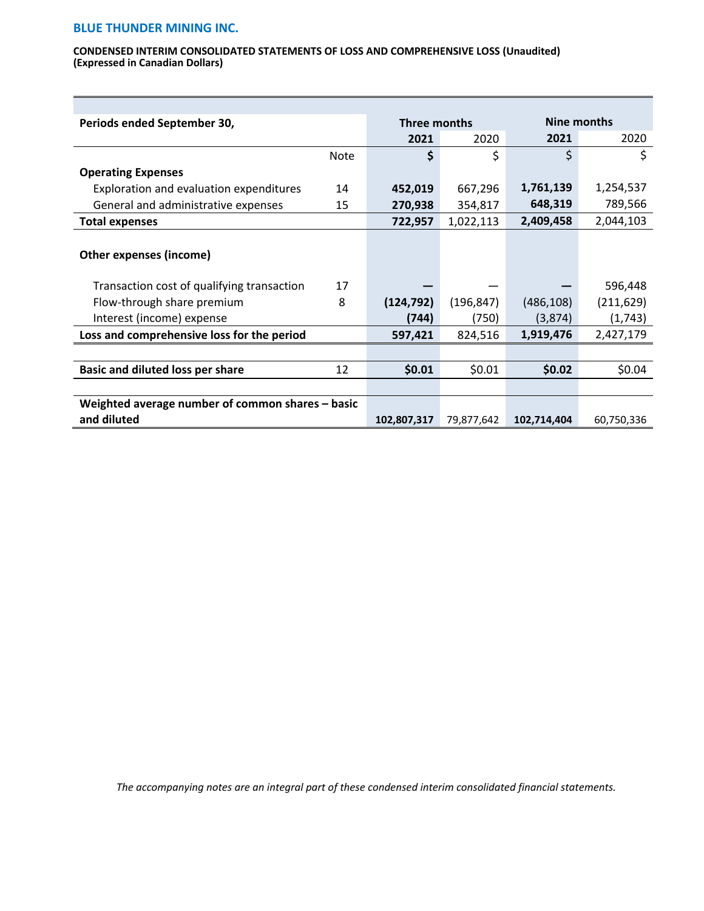#### **CONDENSED INTERIM CONSOLIDATED STATEMENTS OF LOSS AND COMPREHENSIVE LOSS (Unaudited) (Expressed in Canadian Dollars)**

| Periods ended September 30,                      |             | Three months |            |             | Nine months |  |
|--------------------------------------------------|-------------|--------------|------------|-------------|-------------|--|
|                                                  |             | 2021         | 2020       | 2021        | 2020        |  |
|                                                  | <b>Note</b> | \$           | \$         | \$          | \$          |  |
| <b>Operating Expenses</b>                        |             |              |            |             |             |  |
| Exploration and evaluation expenditures          | 14          | 452,019      | 667,296    | 1,761,139   | 1,254,537   |  |
| General and administrative expenses              | 15          | 270,938      | 354,817    | 648,319     | 789,566     |  |
| <b>Total expenses</b>                            |             | 722,957      | 1,022,113  | 2,409,458   | 2,044,103   |  |
| Other expenses (income)                          |             |              |            |             |             |  |
| Transaction cost of qualifying transaction       | 17          |              |            |             | 596,448     |  |
| Flow-through share premium                       | 8           | (124, 792)   | (196, 847) | (486, 108)  | (211, 629)  |  |
| Interest (income) expense                        |             | (744)        | (750)      | (3,874)     | (1,743)     |  |
| Loss and comprehensive loss for the period       |             | 597,421      | 824,516    | 1,919,476   | 2,427,179   |  |
|                                                  |             |              |            |             |             |  |
| <b>Basic and diluted loss per share</b>          | 12          | \$0.01       | \$0.01     | \$0.02      | \$0.04      |  |
|                                                  |             |              |            |             |             |  |
| Weighted average number of common shares – basic |             |              |            |             |             |  |
| and diluted                                      |             | 102,807,317  | 79,877,642 | 102,714,404 | 60,750,336  |  |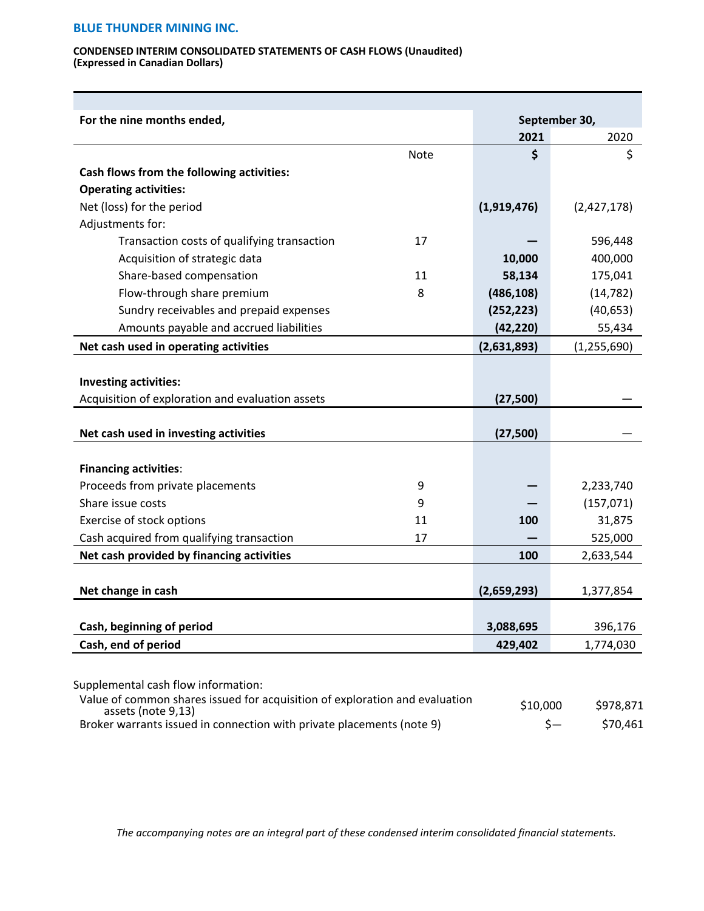#### **CONDENSED INTERIM CONSOLIDATED STATEMENTS OF CASH FLOWS (Unaudited) (Expressed in Canadian Dollars)**

| For the nine months ended,                       |      |             | September 30, |
|--------------------------------------------------|------|-------------|---------------|
|                                                  |      | 2021        | 2020          |
|                                                  | Note | \$          | \$            |
| Cash flows from the following activities:        |      |             |               |
| <b>Operating activities:</b>                     |      |             |               |
| Net (loss) for the period                        |      | (1,919,476) | (2,427,178)   |
| Adjustments for:                                 |      |             |               |
| Transaction costs of qualifying transaction      | 17   |             | 596,448       |
| Acquisition of strategic data                    |      | 10,000      | 400,000       |
| Share-based compensation                         | 11   | 58,134      | 175,041       |
| Flow-through share premium                       | 8    | (486, 108)  | (14, 782)     |
| Sundry receivables and prepaid expenses          |      | (252, 223)  | (40, 653)     |
| Amounts payable and accrued liabilities          |      | (42, 220)   | 55,434        |
| Net cash used in operating activities            |      | (2,631,893) | (1, 255, 690) |
|                                                  |      |             |               |
| Investing activities:                            |      |             |               |
| Acquisition of exploration and evaluation assets |      | (27, 500)   |               |
|                                                  |      |             |               |
| Net cash used in investing activities            |      | (27, 500)   |               |
| <b>Financing activities:</b>                     |      |             |               |
| Proceeds from private placements                 | 9    |             | 2,233,740     |
| Share issue costs                                | 9    |             | (157, 071)    |
| Exercise of stock options                        | 11   | <b>100</b>  | 31,875        |
| Cash acquired from qualifying transaction        | 17   |             | 525,000       |
| Net cash provided by financing activities        |      | 100         | 2,633,544     |
|                                                  |      |             |               |
| Net change in cash                               |      | (2,659,293) | 1,377,854     |
| Cash, beginning of period                        |      | 3,088,695   | 396,176       |
|                                                  |      |             |               |

Supplemental cash flow information:

| Value of common shares issued for acquisition of exploration and evaluation<br>assets (note 9,13) | \$10,000 | \$978,871 |
|---------------------------------------------------------------------------------------------------|----------|-----------|
| Broker warrants issued in connection with private placements (note 9)                             |          | \$70.461  |

*The accompanying notes are an integral part of these condensed interim consolidated financial statements.*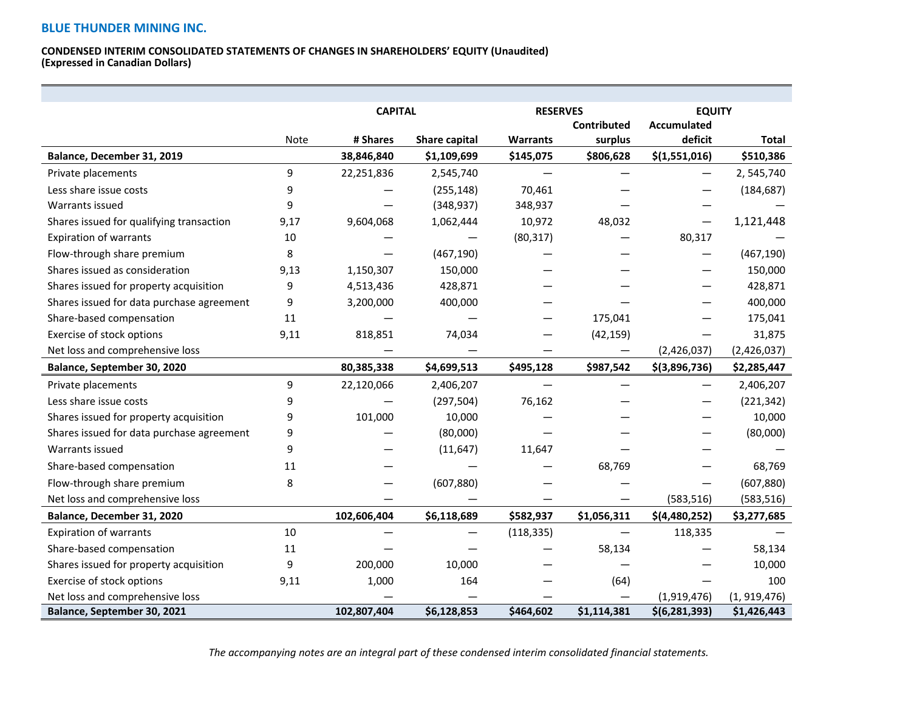#### **CONDENSED INTERIM CONSOLIDATED STATEMENTS OF CHANGES IN SHAREHOLDERS' EQUITY (Unaudited) (Expressed in Canadian Dollars)**

|                                           |      | <b>CAPITAL</b> |               | <b>RESERVES</b> |                          | <b>EQUITY</b>      |               |
|-------------------------------------------|------|----------------|---------------|-----------------|--------------------------|--------------------|---------------|
|                                           |      |                |               |                 | <b>Contributed</b>       | <b>Accumulated</b> |               |
|                                           | Note | # Shares       | Share capital | <b>Warrants</b> | surplus                  | deficit            | <b>Total</b>  |
| Balance, December 31, 2019                |      | 38,846,840     | \$1,109,699   | \$145,075       | \$806,628                | \$(1,551,016)      | \$510,386     |
| Private placements                        | 9    | 22,251,836     | 2,545,740     |                 |                          |                    | 2,545,740     |
| Less share issue costs                    | 9    |                | (255, 148)    | 70,461          |                          |                    | (184, 687)    |
| Warrants issued                           | 9    |                | (348, 937)    | 348,937         |                          |                    |               |
| Shares issued for qualifying transaction  | 9,17 | 9,604,068      | 1,062,444     | 10,972          | 48,032                   | —                  | 1,121,448     |
| <b>Expiration of warrants</b>             | 10   |                |               | (80, 317)       |                          | 80,317             |               |
| Flow-through share premium                | 8    |                | (467, 190)    |                 |                          |                    | (467, 190)    |
| Shares issued as consideration            | 9,13 | 1,150,307      | 150,000       |                 |                          |                    | 150,000       |
| Shares issued for property acquisition    | 9    | 4,513,436      | 428,871       |                 |                          |                    | 428,871       |
| Shares issued for data purchase agreement | 9    | 3,200,000      | 400,000       |                 |                          |                    | 400,000       |
| Share-based compensation                  | 11   |                |               |                 | 175,041                  |                    | 175,041       |
| Exercise of stock options                 | 9,11 | 818,851        | 74,034        |                 | (42, 159)                |                    | 31,875        |
| Net loss and comprehensive loss           |      |                |               | —               | $\qquad \qquad \qquad$   | (2,426,037)        | (2,426,037)   |
| Balance, September 30, 2020               |      | 80,385,338     | \$4,699,513   | \$495,128       | \$987,542                | \$(3,896,736)      | \$2,285,447   |
| Private placements                        | 9    | 22,120,066     | 2,406,207     |                 |                          | —                  | 2,406,207     |
| Less share issue costs                    | 9    |                | (297, 504)    | 76,162          |                          |                    | (221, 342)    |
| Shares issued for property acquisition    | 9    | 101,000        | 10,000        |                 |                          |                    | 10,000        |
| Shares issued for data purchase agreement | 9    |                | (80,000)      |                 |                          |                    | (80,000)      |
| Warrants issued                           | 9    |                | (11, 647)     | 11,647          |                          |                    |               |
| Share-based compensation                  | 11   |                |               |                 | 68,769                   |                    | 68,769        |
| Flow-through share premium                | 8    |                | (607, 880)    |                 |                          |                    | (607, 880)    |
| Net loss and comprehensive loss           |      |                |               |                 |                          | (583, 516)         | (583, 516)    |
| Balance, December 31, 2020                |      | 102,606,404    | \$6,118,689   | \$582,937       | \$1,056,311              | \$(4,480,252)      | \$3,277,685   |
| <b>Expiration of warrants</b>             | 10   |                |               | (118, 335)      | $\overline{\phantom{0}}$ | 118,335            |               |
| Share-based compensation                  | 11   |                |               |                 | 58,134                   |                    | 58,134        |
| Shares issued for property acquisition    | 9    | 200,000        | 10,000        |                 |                          |                    | 10,000        |
| Exercise of stock options                 | 9,11 | 1,000          | 164           |                 | (64)                     |                    | 100           |
| Net loss and comprehensive loss           |      |                |               |                 |                          | (1,919,476)        | (1, 919, 476) |
| Balance, September 30, 2021               |      | 102,807,404    | \$6,128,853   | \$464,602       | \$1,114,381              | \$(6, 281, 393)    | \$1,426,443   |

*The accompanying notes are an integral part of these condensed interim consolidated financial statements.*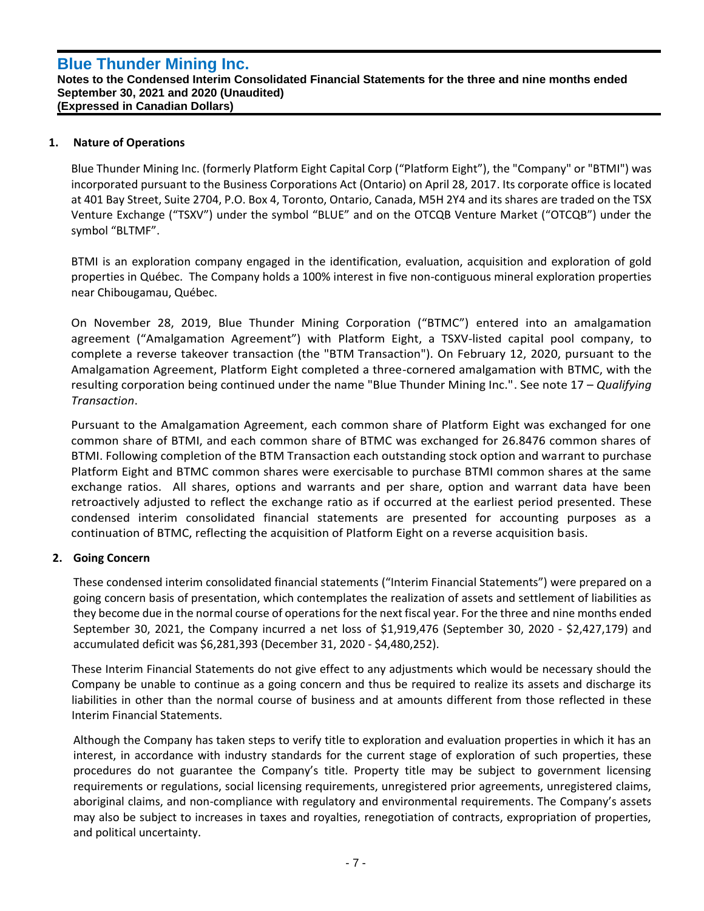#### **Notes to the Condensed Interim Consolidated Financial Statements for the three and nine months ended September 30, 2021 and 2020 (Unaudited) (Expressed in Canadian Dollars)**

# **1. Nature of Operations**

`

Blue Thunder Mining Inc. (formerly Platform Eight Capital Corp ("Platform Eight"), the "Company" or "BTMI") was incorporated pursuant to the Business Corporations Act (Ontario) on April 28, 2017. Its corporate office is located at 401 Bay Street, Suite 2704, P.O. Box 4, Toronto, Ontario, Canada, M5H 2Y4 and its shares are traded on the TSX Venture Exchange ("TSXV") under the symbol "BLUE" and on the OTCQB Venture Market ("OTCQB") under the symbol "BLTMF".

BTMI is an exploration company engaged in the identification, evaluation, acquisition and exploration of gold properties in Québec. The Company holds a 100% interest in five non-contiguous mineral exploration properties near Chibougamau, Québec.

On November 28, 2019, Blue Thunder Mining Corporation ("BTMC") entered into an amalgamation agreement ("Amalgamation Agreement") with Platform Eight, a TSXV-listed capital pool company, to complete a reverse takeover transaction (the "BTM Transaction"). On February 12, 2020, pursuant to the Amalgamation Agreement, Platform Eight completed a three-cornered amalgamation with BTMC, with the resulting corporation being continued under the name "Blue Thunder Mining Inc.". See note 17 – *Qualifying Transaction*.

Pursuant to the Amalgamation Agreement, each common share of Platform Eight was exchanged for one common share of BTMI, and each common share of BTMC was exchanged for 26.8476 common shares of BTMI. Following completion of the BTM Transaction each outstanding stock option and warrant to purchase Platform Eight and BTMC common shares were exercisable to purchase BTMI common shares at the same exchange ratios. All shares, options and warrants and per share, option and warrant data have been retroactively adjusted to reflect the exchange ratio as if occurred at the earliest period presented. These condensed interim consolidated financial statements are presented for accounting purposes as a continuation of BTMC, reflecting the acquisition of Platform Eight on a reverse acquisition basis.

# **2. Going Concern**

These condensed interim consolidated financial statements ("Interim Financial Statements") were prepared on a going concern basis of presentation, which contemplates the realization of assets and settlement of liabilities as they become due in the normal course of operations for the next fiscal year. For the three and nine months ended September 30, 2021, the Company incurred a net loss of \$1,919,476 (September 30, 2020 - \$2,427,179) and accumulated deficit was \$6,281,393 (December 31, 2020 - \$4,480,252).

These Interim Financial Statements do not give effect to any adjustments which would be necessary should the Company be unable to continue as a going concern and thus be required to realize its assets and discharge its liabilities in other than the normal course of business and at amounts different from those reflected in these Interim Financial Statements.

Although the Company has taken steps to verify title to exploration and evaluation properties in which it has an interest, in accordance with industry standards for the current stage of exploration of such properties, these procedures do not guarantee the Company's title. Property title may be subject to government licensing requirements or regulations, social licensing requirements, unregistered prior agreements, unregistered claims, aboriginal claims, and non-compliance with regulatory and environmental requirements. The Company's assets may also be subject to increases in taxes and royalties, renegotiation of contracts, expropriation of properties, and political uncertainty.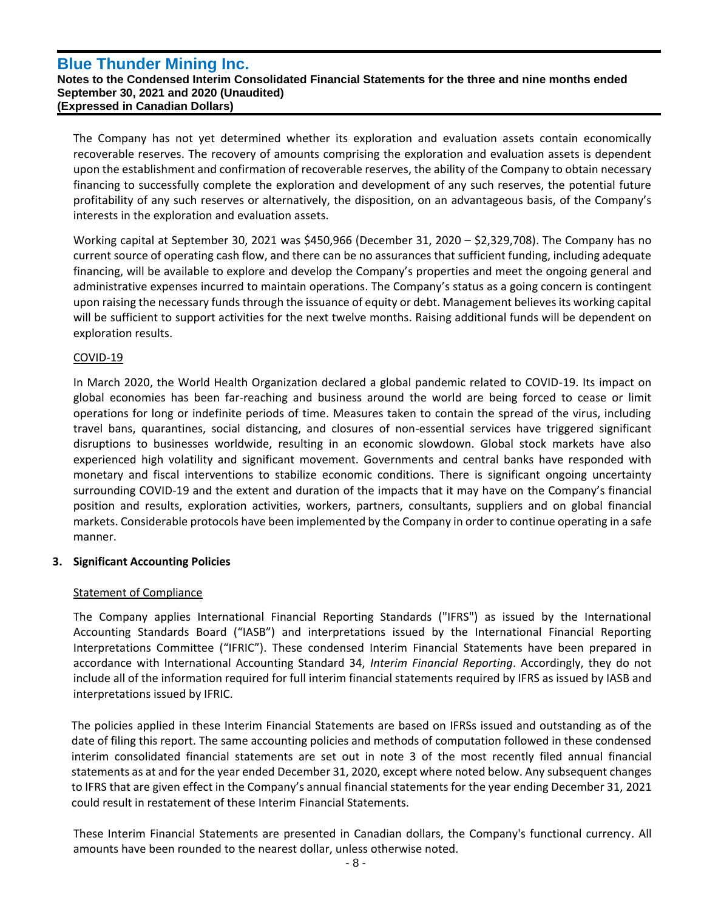#### **Notes to the Condensed Interim Consolidated Financial Statements for the three and nine months ended September 30, 2021 and 2020 (Unaudited) (Expressed in Canadian Dollars)**

The Company has not yet determined whether its exploration and evaluation assets contain economically recoverable reserves. The recovery of amounts comprising the exploration and evaluation assets is dependent upon the establishment and confirmation of recoverable reserves, the ability of the Company to obtain necessary financing to successfully complete the exploration and development of any such reserves, the potential future profitability of any such reserves or alternatively, the disposition, on an advantageous basis, of the Company's interests in the exploration and evaluation assets.

Working capital at September 30, 2021 was \$450,966 (December 31, 2020 – \$2,329,708). The Company has no current source of operating cash flow, and there can be no assurances that sufficient funding, including adequate financing, will be available to explore and develop the Company's properties and meet the ongoing general and administrative expenses incurred to maintain operations. The Company's status as a going concern is contingent upon raising the necessary funds through the issuance of equity or debt. Management believes its working capital will be sufficient to support activities for the next twelve months. Raising additional funds will be dependent on exploration results.

# COVID-19

`

In March 2020, the World Health Organization declared a global pandemic related to COVID-19. Its impact on global economies has been far-reaching and business around the world are being forced to cease or limit operations for long or indefinite periods of time. Measures taken to contain the spread of the virus, including travel bans, quarantines, social distancing, and closures of non-essential services have triggered significant disruptions to businesses worldwide, resulting in an economic slowdown. Global stock markets have also experienced high volatility and significant movement. Governments and central banks have responded with monetary and fiscal interventions to stabilize economic conditions. There is significant ongoing uncertainty surrounding COVID-19 and the extent and duration of the impacts that it may have on the Company's financial position and results, exploration activities, workers, partners, consultants, suppliers and on global financial markets. Considerable protocols have been implemented by the Company in order to continue operating in a safe manner.

# **3. Significant Accounting Policies**

# Statement of Compliance

The Company applies International Financial Reporting Standards ("IFRS") as issued by the International Accounting Standards Board ("IASB") and interpretations issued by the International Financial Reporting Interpretations Committee ("IFRIC"). These condensed Interim Financial Statements have been prepared in accordance with International Accounting Standard 34, *Interim Financial Reporting*. Accordingly, they do not include all of the information required for full interim financial statements required by IFRS as issued by IASB and interpretations issued by IFRIC.

The policies applied in these Interim Financial Statements are based on IFRSs issued and outstanding as of the date of filing this report. The same accounting policies and methods of computation followed in these condensed interim consolidated financial statements are set out in note 3 of the most recently filed annual financial statements as at and for the year ended December 31, 2020, except where noted below. Any subsequent changes to IFRS that are given effect in the Company's annual financial statements for the year ending December 31, 2021 could result in restatement of these Interim Financial Statements.

These Interim Financial Statements are presented in Canadian dollars, the Company's functional currency. All amounts have been rounded to the nearest dollar, unless otherwise noted.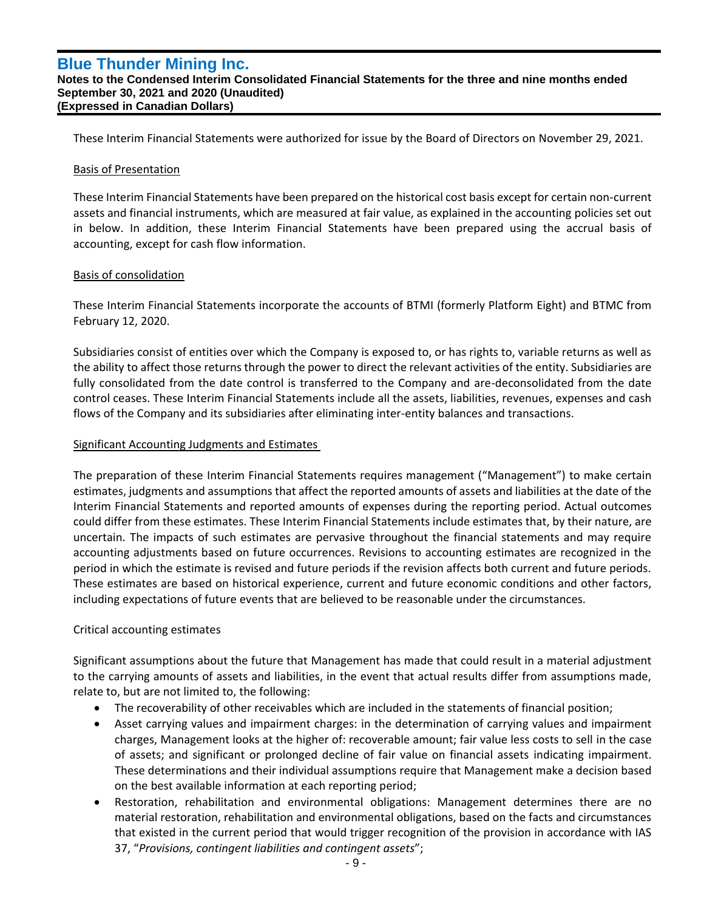#### **Notes to the Condensed Interim Consolidated Financial Statements for the three and nine months ended September 30, 2021 and 2020 (Unaudited) (Expressed in Canadian Dollars)**

These Interim Financial Statements were authorized for issue by the Board of Directors on November 29, 2021.

## Basis of Presentation

`

These Interim Financial Statements have been prepared on the historical cost basis except for certain non-current assets and financial instruments, which are measured at fair value, as explained in the accounting policies set out in below. In addition, these Interim Financial Statements have been prepared using the accrual basis of accounting, except for cash flow information.

# Basis of consolidation

These Interim Financial Statements incorporate the accounts of BTMI (formerly Platform Eight) and BTMC from February 12, 2020.

Subsidiaries consist of entities over which the Company is exposed to, or has rights to, variable returns as well as the ability to affect those returns through the power to direct the relevant activities of the entity. Subsidiaries are fully consolidated from the date control is transferred to the Company and are-deconsolidated from the date control ceases. These Interim Financial Statements include all the assets, liabilities, revenues, expenses and cash flows of the Company and its subsidiaries after eliminating inter-entity balances and transactions.

# Significant Accounting Judgments and Estimates

The preparation of these Interim Financial Statements requires management ("Management") to make certain estimates, judgments and assumptions that affect the reported amounts of assets and liabilities at the date of the Interim Financial Statements and reported amounts of expenses during the reporting period. Actual outcomes could differ from these estimates. These Interim Financial Statements include estimates that, by their nature, are uncertain. The impacts of such estimates are pervasive throughout the financial statements and may require accounting adjustments based on future occurrences. Revisions to accounting estimates are recognized in the period in which the estimate is revised and future periods if the revision affects both current and future periods. These estimates are based on historical experience, current and future economic conditions and other factors, including expectations of future events that are believed to be reasonable under the circumstances.

# Critical accounting estimates

Significant assumptions about the future that Management has made that could result in a material adjustment to the carrying amounts of assets and liabilities, in the event that actual results differ from assumptions made, relate to, but are not limited to, the following:

- The recoverability of other receivables which are included in the statements of financial position;
- Asset carrying values and impairment charges: in the determination of carrying values and impairment charges, Management looks at the higher of: recoverable amount; fair value less costs to sell in the case of assets; and significant or prolonged decline of fair value on financial assets indicating impairment. These determinations and their individual assumptions require that Management make a decision based on the best available information at each reporting period;
- Restoration, rehabilitation and environmental obligations: Management determines there are no material restoration, rehabilitation and environmental obligations, based on the facts and circumstances that existed in the current period that would trigger recognition of the provision in accordance with IAS 37, "*Provisions, contingent liabilities and contingent assets*";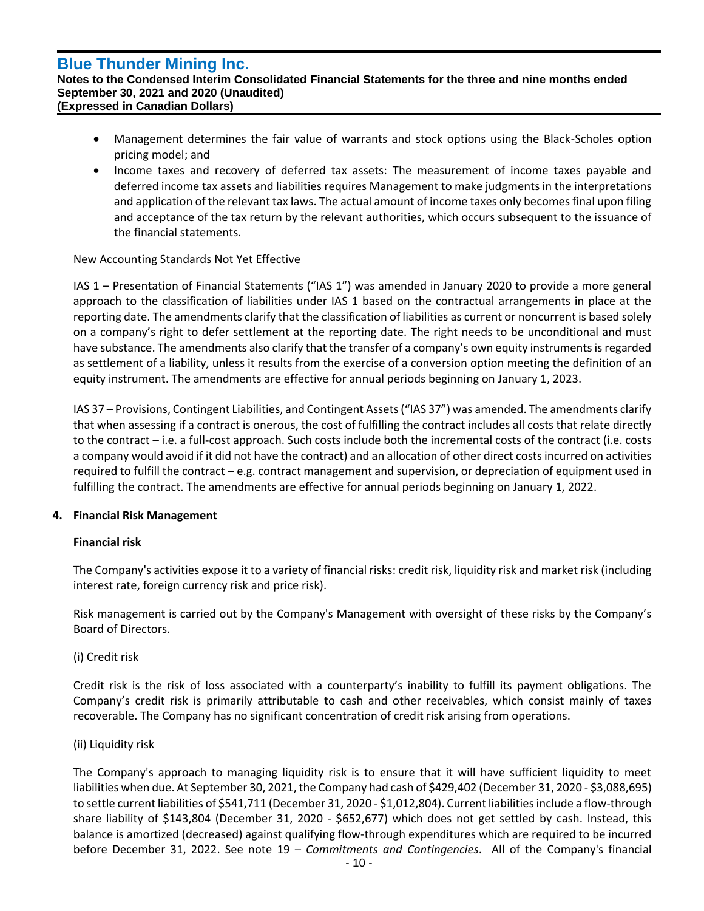`

#### **Notes to the Condensed Interim Consolidated Financial Statements for the three and nine months ended September 30, 2021 and 2020 (Unaudited) (Expressed in Canadian Dollars)**

- Management determines the fair value of warrants and stock options using the Black-Scholes option pricing model; and
- Income taxes and recovery of deferred tax assets: The measurement of income taxes payable and deferred income tax assets and liabilities requires Management to make judgments in the interpretations and application of the relevant tax laws. The actual amount of income taxes only becomes final upon filing and acceptance of the tax return by the relevant authorities, which occurs subsequent to the issuance of the financial statements.

# New Accounting Standards Not Yet Effective

IAS 1 – Presentation of Financial Statements ("IAS 1") was amended in January 2020 to provide a more general approach to the classification of liabilities under IAS 1 based on the contractual arrangements in place at the reporting date. The amendments clarify that the classification of liabilities as current or noncurrent is based solely on a company's right to defer settlement at the reporting date. The right needs to be unconditional and must have substance. The amendments also clarify that the transfer of a company's own equity instruments is regarded as settlement of a liability, unless it results from the exercise of a conversion option meeting the definition of an equity instrument. The amendments are effective for annual periods beginning on January 1, 2023.

IAS 37 – Provisions, Contingent Liabilities, and Contingent Assets ("IAS 37") was amended. The amendments clarify that when assessing if a contract is onerous, the cost of fulfilling the contract includes all costs that relate directly to the contract – i.e. a full-cost approach. Such costs include both the incremental costs of the contract (i.e. costs a company would avoid if it did not have the contract) and an allocation of other direct costs incurred on activities required to fulfill the contract – e.g. contract management and supervision, or depreciation of equipment used in fulfilling the contract. The amendments are effective for annual periods beginning on January 1, 2022.

# **4. Financial Risk Management**

# **Financial risk**

The Company's activities expose it to a variety of financial risks: credit risk, liquidity risk and market risk (including interest rate, foreign currency risk and price risk).

Risk management is carried out by the Company's Management with oversight of these risks by the Company's Board of Directors.

# (i) Credit risk

Credit risk is the risk of loss associated with a counterparty's inability to fulfill its payment obligations. The Company's credit risk is primarily attributable to cash and other receivables, which consist mainly of taxes recoverable. The Company has no significant concentration of credit risk arising from operations.

# (ii) Liquidity risk

The Company's approach to managing liquidity risk is to ensure that it will have sufficient liquidity to meet liabilities when due. At September 30, 2021, the Company had cash of \$429,402 (December 31, 2020 - \$3,088,695) to settle current liabilities of \$541,711 (December 31, 2020 - \$1,012,804). Current liabilities include a flow-through share liability of \$143,804 (December 31, 2020 - \$652,677) which does not get settled by cash. Instead, this balance is amortized (decreased) against qualifying flow-through expenditures which are required to be incurred before December 31, 2022. See note 19 – *Commitments and Contingencies*. All of the Company's financial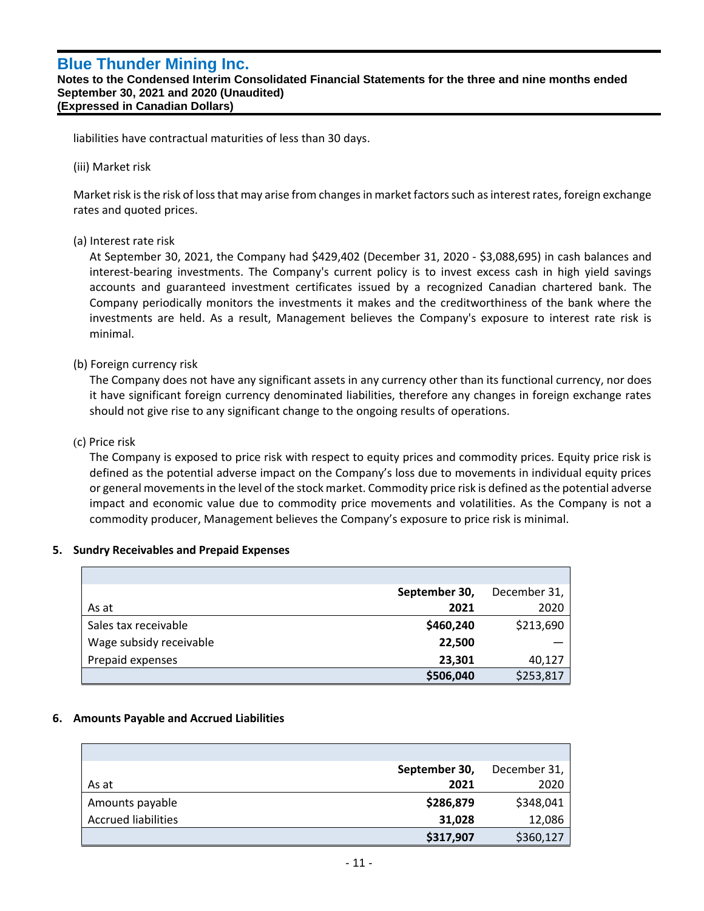**Notes to the Condensed Interim Consolidated Financial Statements for the three and nine months ended September 30, 2021 and 2020 (Unaudited) (Expressed in Canadian Dollars)**

liabilities have contractual maturities of less than 30 days.

(iii) Market risk

`

Market risk is the risk of loss that may arise from changes in market factors such as interest rates, foreign exchange rates and quoted prices.

# (a) Interest rate risk

At September 30, 2021, the Company had \$429,402 (December 31, 2020 - \$3,088,695) in cash balances and interest-bearing investments. The Company's current policy is to invest excess cash in high yield savings accounts and guaranteed investment certificates issued by a recognized Canadian chartered bank. The Company periodically monitors the investments it makes and the creditworthiness of the bank where the investments are held. As a result, Management believes the Company's exposure to interest rate risk is minimal.

# (b) Foreign currency risk

The Company does not have any significant assets in any currency other than its functional currency, nor does it have significant foreign currency denominated liabilities, therefore any changes in foreign exchange rates should not give rise to any significant change to the ongoing results of operations.

#### (c) Price risk

The Company is exposed to price risk with respect to equity prices and commodity prices. Equity price risk is defined as the potential adverse impact on the Company's loss due to movements in individual equity prices or general movements in the level of the stock market. Commodity price risk is defined as the potential adverse impact and economic value due to commodity price movements and volatilities. As the Company is not a commodity producer, Management believes the Company's exposure to price risk is minimal.

#### **5. Sundry Receivables and Prepaid Expenses**

|                         | September 30, | December 31, |
|-------------------------|---------------|--------------|
| As at                   | 2021          | 2020         |
| Sales tax receivable    | \$460,240     | \$213,690    |
| Wage subsidy receivable | 22,500        |              |
| Prepaid expenses        | 23,301        | 40,127       |
|                         | \$506,040     | \$253,817    |

# **6. Amounts Payable and Accrued Liabilities**

|                            | September 30, | December 31, |
|----------------------------|---------------|--------------|
| As at                      | 2021          | 2020         |
| Amounts payable            | \$286,879     | \$348,041    |
| <b>Accrued liabilities</b> | 31,028        | 12,086       |
|                            | \$317,907     | \$360,127    |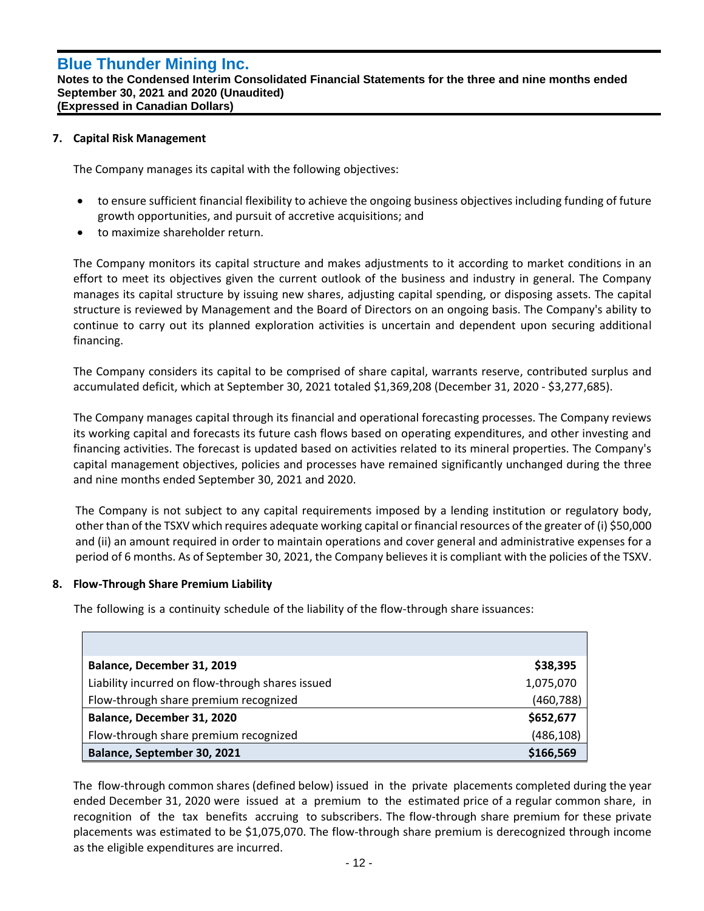#### **Notes to the Condensed Interim Consolidated Financial Statements for the three and nine months ended September 30, 2021 and 2020 (Unaudited) (Expressed in Canadian Dollars)**

## **7. Capital Risk Management**

`

The Company manages its capital with the following objectives:

- to ensure sufficient financial flexibility to achieve the ongoing business objectives including funding of future growth opportunities, and pursuit of accretive acquisitions; and
- to maximize shareholder return.

The Company monitors its capital structure and makes adjustments to it according to market conditions in an effort to meet its objectives given the current outlook of the business and industry in general. The Company manages its capital structure by issuing new shares, adjusting capital spending, or disposing assets. The capital structure is reviewed by Management and the Board of Directors on an ongoing basis. The Company's ability to continue to carry out its planned exploration activities is uncertain and dependent upon securing additional financing.

The Company considers its capital to be comprised of share capital, warrants reserve, contributed surplus and accumulated deficit, which at September 30, 2021 totaled \$1,369,208 (December 31, 2020 - \$3,277,685).

The Company manages capital through its financial and operational forecasting processes. The Company reviews its working capital and forecasts its future cash flows based on operating expenditures, and other investing and financing activities. The forecast is updated based on activities related to its mineral properties. The Company's capital management objectives, policies and processes have remained significantly unchanged during the three and nine months ended September 30, 2021 and 2020.

The Company is not subject to any capital requirements imposed by a lending institution or regulatory body, other than of the TSXV which requires adequate working capital or financial resources of the greater of (i) \$50,000 and (ii) an amount required in order to maintain operations and cover general and administrative expenses for a period of 6 months. As of September 30, 2021, the Company believes it is compliant with the policies of the TSXV.

# **8. Flow-Through Share Premium Liability**

The following is a continuity schedule of the liability of the flow-through share issuances:

| Balance, December 31, 2019                       | \$38,395   |
|--------------------------------------------------|------------|
| Liability incurred on flow-through shares issued | 1,075,070  |
| Flow-through share premium recognized            | (460, 788) |
| Balance, December 31, 2020                       | \$652,677  |
| Flow-through share premium recognized            | (486, 108) |
| Balance, September 30, 2021                      | \$166,569  |

The flow-through common shares (defined below) issued in the private placements completed during the year ended December 31, 2020 were issued at a premium to the estimated price of a regular common share, in recognition of the tax benefits accruing to subscribers. The flow-through share premium for these private placements was estimated to be \$1,075,070. The flow-through share premium is derecognized through income as the eligible expenditures are incurred.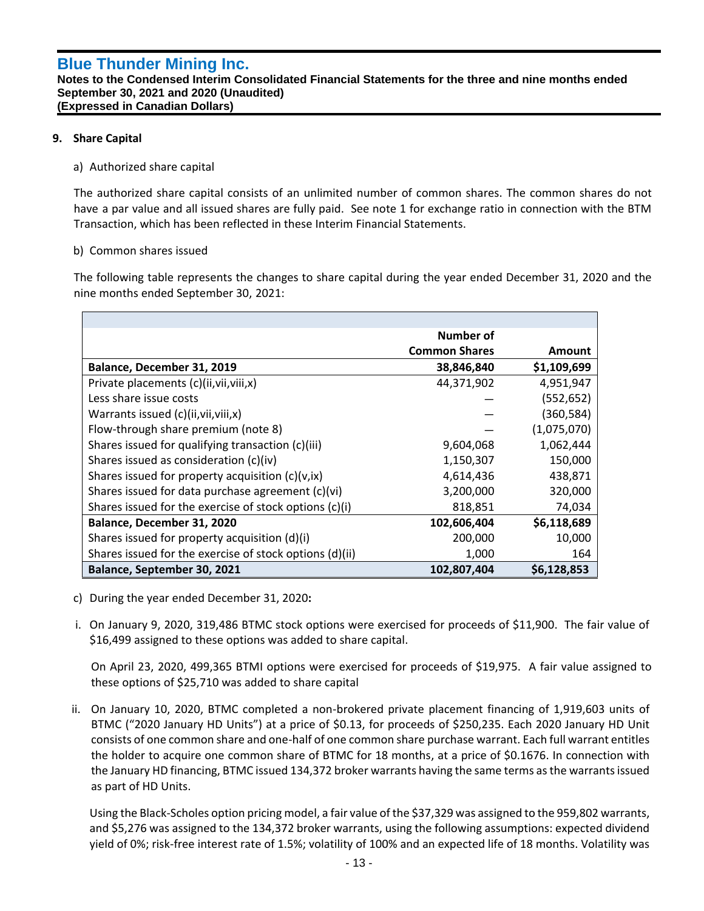#### **Notes to the Condensed Interim Consolidated Financial Statements for the three and nine months ended September 30, 2021 and 2020 (Unaudited) (Expressed in Canadian Dollars)**

# **9. Share Capital**

`

## a) Authorized share capital

The authorized share capital consists of an unlimited number of common shares. The common shares do not have a par value and all issued shares are fully paid. See note 1 for exchange ratio in connection with the BTM Transaction, which has been reflected in these Interim Financial Statements.

#### b) Common shares issued

The following table represents the changes to share capital during the year ended December 31, 2020 and the nine months ended September 30, 2021:

|                                                         | Number of            |               |
|---------------------------------------------------------|----------------------|---------------|
|                                                         | <b>Common Shares</b> | <b>Amount</b> |
| Balance, December 31, 2019                              | 38,846,840           | \$1,109,699   |
| Private placements (c)(ii, vii, viii, x)                | 44,371,902           | 4,951,947     |
| Less share issue costs                                  |                      | (552, 652)    |
| Warrants issued (c)(ii, vii, viii, x)                   |                      | (360, 584)    |
| Flow-through share premium (note 8)                     |                      | (1,075,070)   |
| Shares issued for qualifying transaction (c)(iii)       | 9,604,068            | 1,062,444     |
| Shares issued as consideration (c)(iv)                  | 1,150,307            | 150,000       |
| Shares issued for property acquisition $(c)(v, ix)$     | 4,614,436            | 438,871       |
| Shares issued for data purchase agreement (c)(vi)       | 3,200,000            | 320,000       |
| Shares issued for the exercise of stock options (c)(i)  | 818,851              | 74,034        |
| Balance, December 31, 2020                              | 102,606,404          | \$6,118,689   |
| Shares issued for property acquisition (d)(i)           | 200,000              | 10,000        |
| Shares issued for the exercise of stock options (d)(ii) | 1,000                | 164           |
| Balance, September 30, 2021                             | 102,807,404          | \$6,128,853   |

- c) During the year ended December 31, 2020**:**
- i. On January 9, 2020, 319,486 BTMC stock options were exercised for proceeds of \$11,900. The fair value of \$16,499 assigned to these options was added to share capital.

On April 23, 2020, 499,365 BTMI options were exercised for proceeds of \$19,975. A fair value assigned to these options of \$25,710 was added to share capital

ii. On January 10, 2020, BTMC completed a non-brokered private placement financing of 1,919,603 units of BTMC ("2020 January HD Units") at a price of \$0.13, for proceeds of \$250,235. Each 2020 January HD Unit consists of one common share and one-half of one common share purchase warrant. Each full warrant entitles the holder to acquire one common share of BTMC for 18 months, at a price of \$0.1676. In connection with the January HD financing, BTMC issued 134,372 broker warrants having the same terms as the warrants issued as part of HD Units.

Using the Black-Scholes option pricing model, a fair value of the \$37,329 was assigned to the 959,802 warrants, and \$5,276 was assigned to the 134,372 broker warrants, using the following assumptions: expected dividend yield of 0%; risk-free interest rate of 1.5%; volatility of 100% and an expected life of 18 months. Volatility was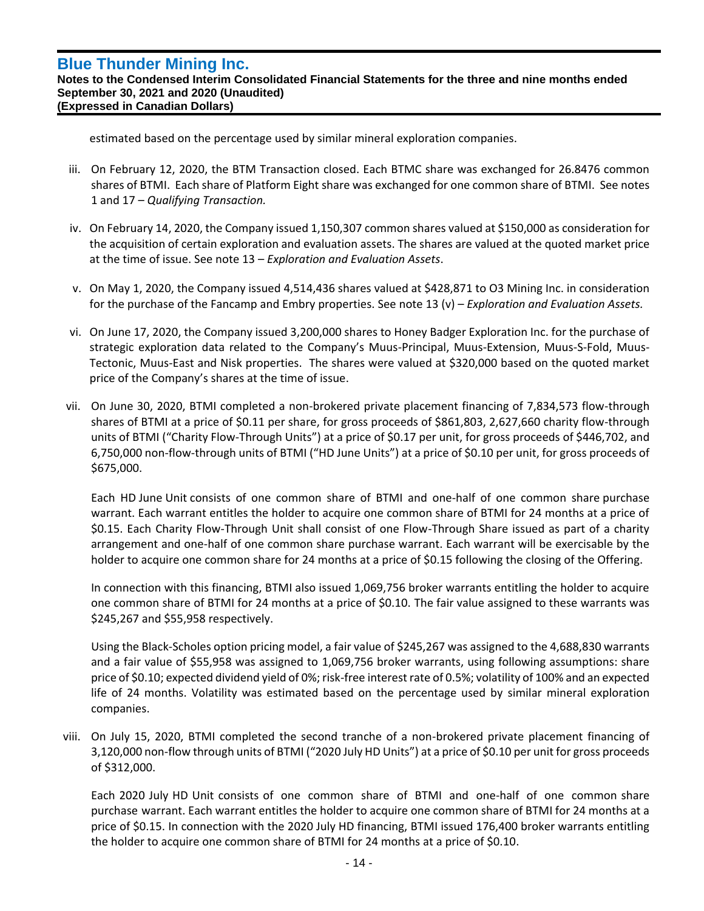`

**Notes to the Condensed Interim Consolidated Financial Statements for the three and nine months ended September 30, 2021 and 2020 (Unaudited) (Expressed in Canadian Dollars)**

estimated based on the percentage used by similar mineral exploration companies.

- iii. On February 12, 2020, the BTM Transaction closed. Each BTMC share was exchanged for 26.8476 common shares of BTMI. Each share of Platform Eight share was exchanged for one common share of BTMI. See notes 1 and 17 – *Qualifying Transaction.*
- iv. On February 14, 2020, the Company issued 1,150,307 common shares valued at \$150,000 as consideration for the acquisition of certain exploration and evaluation assets. The shares are valued at the quoted market price at the time of issue. See note 13 – *Exploration and Evaluation Assets*.
- v. On May 1, 2020, the Company issued 4,514,436 shares valued at \$428,871 to O3 Mining Inc. in consideration for the purchase of the Fancamp and Embry properties. See note 13 (v) – *Exploration and Evaluation Assets.*
- vi. On June 17, 2020, the Company issued 3,200,000 shares to Honey Badger Exploration Inc. for the purchase of strategic exploration data related to the Company's Muus-Principal, Muus-Extension, Muus-S-Fold, Muus-Tectonic, Muus-East and Nisk properties. The shares were valued at \$320,000 based on the quoted market price of the Company's shares at the time of issue.
- vii. On June 30, 2020, BTMI completed a non-brokered private placement financing of 7,834,573 flow-through shares of BTMI at a price of \$0.11 per share, for gross proceeds of \$861,803, 2,627,660 charity flow-through units of BTMI ("Charity Flow-Through Units") at a price of \$0.17 per unit, for gross proceeds of \$446,702, and 6,750,000 non-flow-through units of BTMI ("HD June Units") at a price of \$0.10 per unit, for gross proceeds of \$675,000.

Each HD June Unit consists of one common share of BTMI and one-half of one common share purchase warrant. Each warrant entitles the holder to acquire one common share of BTMI for 24 months at a price of \$0.15. Each Charity Flow-Through Unit shall consist of one Flow-Through Share issued as part of a charity arrangement and one-half of one common share purchase warrant. Each warrant will be exercisable by the holder to acquire one common share for 24 months at a price of \$0.15 following the closing of the Offering.

In connection with this financing, BTMI also issued 1,069,756 broker warrants entitling the holder to acquire one common share of BTMI for 24 months at a price of \$0.10. The fair value assigned to these warrants was \$245,267 and \$55,958 respectively.

Using the Black-Scholes option pricing model, a fair value of \$245,267 was assigned to the 4,688,830 warrants and a fair value of \$55,958 was assigned to 1,069,756 broker warrants, using following assumptions: share price of \$0.10; expected dividend yield of 0%; risk-free interest rate of 0.5%; volatility of 100% and an expected life of 24 months. Volatility was estimated based on the percentage used by similar mineral exploration companies.

viii. On July 15, 2020, BTMI completed the second tranche of a non-brokered private placement financing of 3,120,000 non-flow through units of BTMI ("2020 July HD Units") at a price of \$0.10 per unit for gross proceeds of \$312,000.

Each 2020 July HD Unit consists of one common share of BTMI and one-half of one common share purchase warrant. Each warrant entitles the holder to acquire one common share of BTMI for 24 months at a price of \$0.15. In connection with the 2020 July HD financing, BTMI issued 176,400 broker warrants entitling the holder to acquire one common share of BTMI for 24 months at a price of \$0.10.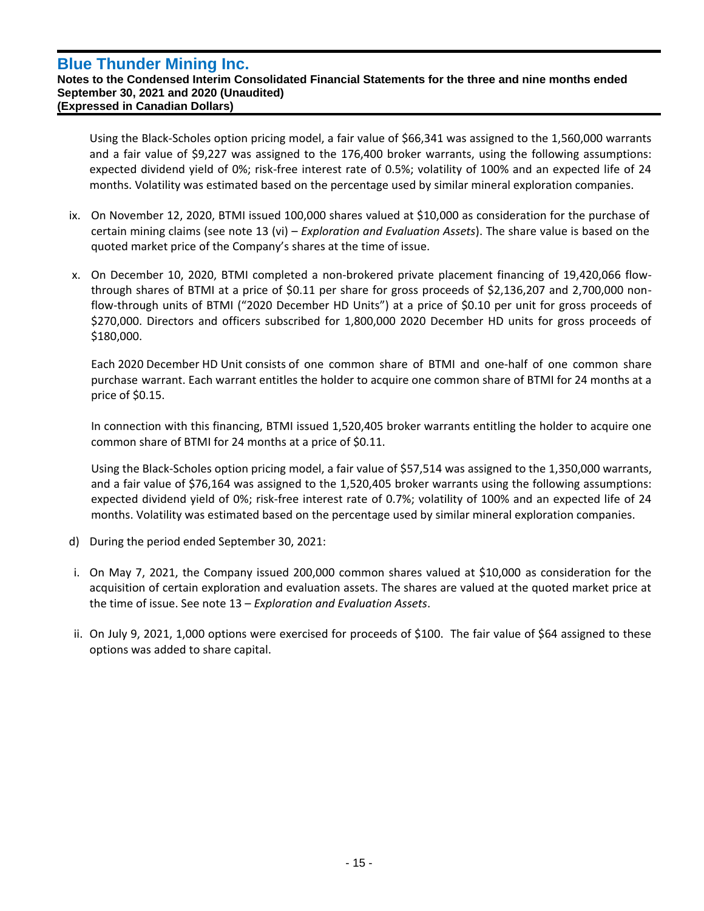`

#### **Notes to the Condensed Interim Consolidated Financial Statements for the three and nine months ended September 30, 2021 and 2020 (Unaudited) (Expressed in Canadian Dollars)**

Using the Black-Scholes option pricing model, a fair value of \$66,341 was assigned to the 1,560,000 warrants and a fair value of \$9,227 was assigned to the 176,400 broker warrants, using the following assumptions: expected dividend yield of 0%; risk-free interest rate of 0.5%; volatility of 100% and an expected life of 24 months. Volatility was estimated based on the percentage used by similar mineral exploration companies.

- ix. On November 12, 2020, BTMI issued 100,000 shares valued at \$10,000 as consideration for the purchase of certain mining claims (see note 13 (vi) – *Exploration and Evaluation Assets*). The share value is based on the quoted market price of the Company's shares at the time of issue.
- x. On December 10, 2020, BTMI completed a non-brokered private placement financing of 19,420,066 flowthrough shares of BTMI at a price of \$0.11 per share for gross proceeds of \$2,136,207 and 2,700,000 nonflow-through units of BTMI ("2020 December HD Units") at a price of \$0.10 per unit for gross proceeds of \$270,000. Directors and officers subscribed for 1,800,000 2020 December HD units for gross proceeds of \$180,000.

Each 2020 December HD Unit consists of one common share of BTMI and one-half of one common share purchase warrant. Each warrant entitles the holder to acquire one common share of BTMI for 24 months at a price of \$0.15.

In connection with this financing, BTMI issued 1,520,405 broker warrants entitling the holder to acquire one common share of BTMI for 24 months at a price of \$0.11.

Using the Black-Scholes option pricing model, a fair value of \$57,514 was assigned to the 1,350,000 warrants, and a fair value of \$76,164 was assigned to the 1,520,405 broker warrants using the following assumptions: expected dividend yield of 0%; risk-free interest rate of 0.7%; volatility of 100% and an expected life of 24 months. Volatility was estimated based on the percentage used by similar mineral exploration companies.

- d) During the period ended September 30, 2021:
- i. On May 7, 2021, the Company issued 200,000 common shares valued at \$10,000 as consideration for the acquisition of certain exploration and evaluation assets. The shares are valued at the quoted market price at the time of issue. See note 13 – *Exploration and Evaluation Assets*.
- ii. On July 9, 2021, 1,000 options were exercised for proceeds of \$100. The fair value of \$64 assigned to these options was added to share capital.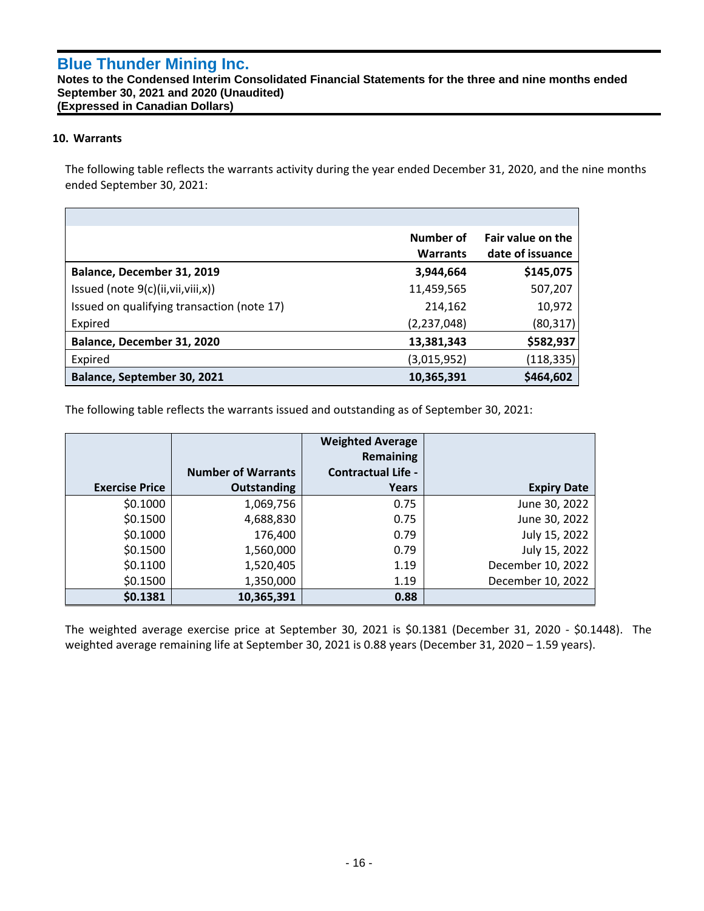## **Notes to the Condensed Interim Consolidated Financial Statements for the three and nine months ended September 30, 2021 and 2020 (Unaudited) (Expressed in Canadian Dollars)**

## **10. Warrants**

`

The following table reflects the warrants activity during the year ended December 31, 2020, and the nine months ended September 30, 2021:

|                                            | Number of<br><b>Warrants</b> | Fair value on the<br>date of issuance |
|--------------------------------------------|------------------------------|---------------------------------------|
| Balance, December 31, 2019                 | 3,944,664                    | \$145,075                             |
| Issued (note $9(c)$ (ii, vii, viii, x))    | 11,459,565                   | 507,207                               |
| Issued on qualifying transaction (note 17) | 214,162                      | 10,972                                |
| Expired                                    | (2,237,048)                  | (80, 317)                             |
| Balance, December 31, 2020                 | 13,381,343                   | \$582,937                             |
| Expired                                    | (3,015,952)                  | (118,335)                             |
| Balance, September 30, 2021                | 10,365,391                   | \$464,602                             |

The following table reflects the warrants issued and outstanding as of September 30, 2021:

|                       |                           | <b>Weighted Average</b><br>Remaining |                    |
|-----------------------|---------------------------|--------------------------------------|--------------------|
|                       | <b>Number of Warrants</b> | <b>Contractual Life -</b>            |                    |
| <b>Exercise Price</b> | Outstanding               | Years                                | <b>Expiry Date</b> |
| \$0.1000              | 1,069,756                 | 0.75                                 | June 30, 2022      |
| \$0.1500              | 4,688,830                 | 0.75                                 | June 30, 2022      |
| \$0.1000              | 176,400                   | 0.79                                 | July 15, 2022      |
| \$0.1500              | 1,560,000                 | 0.79                                 | July 15, 2022      |
| \$0.1100              | 1,520,405                 | 1.19                                 | December 10, 2022  |
| \$0.1500              | 1,350,000                 | 1.19                                 | December 10, 2022  |
| \$0.1381              | 10,365,391                | 0.88                                 |                    |

The weighted average exercise price at September 30, 2021 is \$0.1381 (December 31, 2020 - \$0.1448). The weighted average remaining life at September 30, 2021 is 0.88 years (December 31, 2020 – 1.59 years).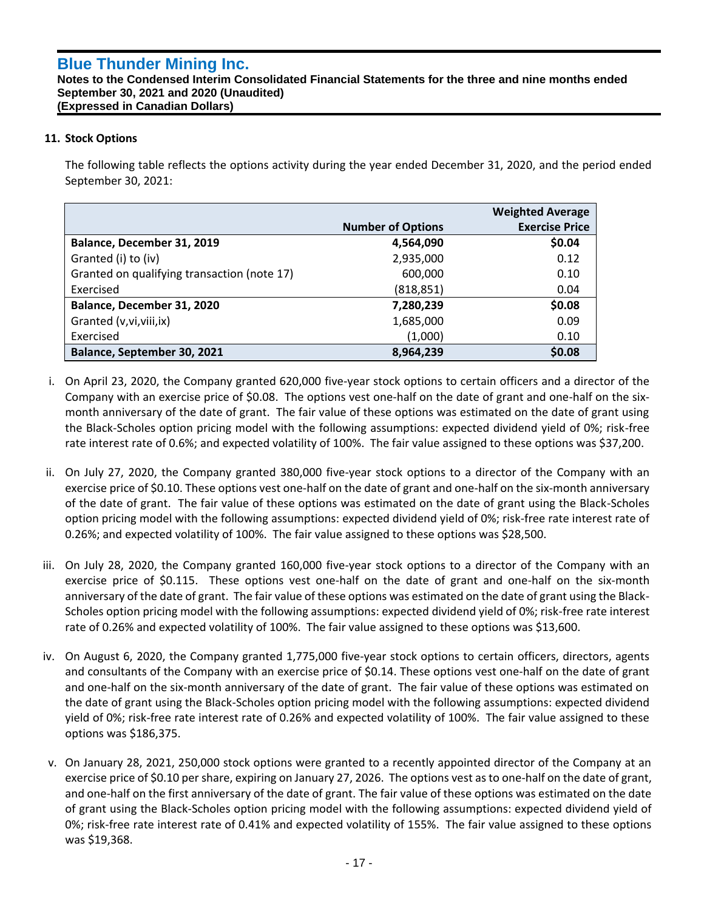#### **Notes to the Condensed Interim Consolidated Financial Statements for the three and nine months ended September 30, 2021 and 2020 (Unaudited) (Expressed in Canadian Dollars)**

# **11. Stock Options**

`

The following table reflects the options activity during the year ended December 31, 2020, and the period ended September 30, 2021:

|                                             |                          | <b>Weighted Average</b> |
|---------------------------------------------|--------------------------|-------------------------|
|                                             | <b>Number of Options</b> | <b>Exercise Price</b>   |
| Balance, December 31, 2019                  | 4,564,090                | \$0.04                  |
| Granted (i) to (iv)                         | 2,935,000                | 0.12                    |
| Granted on qualifying transaction (note 17) | 600,000                  | 0.10                    |
| Exercised                                   | (818, 851)               | 0.04                    |
| Balance, December 31, 2020                  | 7,280,239                | \$0.08                  |
| Granted (v, vi, viii, ix)                   | 1,685,000                | 0.09                    |
| Exercised                                   | (1,000)                  | 0.10                    |
| Balance, September 30, 2021                 | 8,964,239                | \$0.08                  |

- i. On April 23, 2020, the Company granted 620,000 five-year stock options to certain officers and a director of the Company with an exercise price of \$0.08. The options vest one-half on the date of grant and one-half on the sixmonth anniversary of the date of grant. The fair value of these options was estimated on the date of grant using the Black-Scholes option pricing model with the following assumptions: expected dividend yield of 0%; risk-free rate interest rate of 0.6%; and expected volatility of 100%. The fair value assigned to these options was \$37,200.
- ii. On July 27, 2020, the Company granted 380,000 five-year stock options to a director of the Company with an exercise price of \$0.10. These options vest one-half on the date of grant and one-half on the six-month anniversary of the date of grant. The fair value of these options was estimated on the date of grant using the Black-Scholes option pricing model with the following assumptions: expected dividend yield of 0%; risk-free rate interest rate of 0.26%; and expected volatility of 100%. The fair value assigned to these options was \$28,500.
- iii. On July 28, 2020, the Company granted 160,000 five-year stock options to a director of the Company with an exercise price of \$0.115. These options vest one-half on the date of grant and one-half on the six-month anniversary of the date of grant. The fair value of these options was estimated on the date of grant using the Black-Scholes option pricing model with the following assumptions: expected dividend yield of 0%; risk-free rate interest rate of 0.26% and expected volatility of 100%. The fair value assigned to these options was \$13,600.
- iv. On August 6, 2020, the Company granted 1,775,000 five-year stock options to certain officers, directors, agents and consultants of the Company with an exercise price of \$0.14. These options vest one-half on the date of grant and one-half on the six-month anniversary of the date of grant. The fair value of these options was estimated on the date of grant using the Black-Scholes option pricing model with the following assumptions: expected dividend yield of 0%; risk-free rate interest rate of 0.26% and expected volatility of 100%. The fair value assigned to these options was \$186,375.
- v. On January 28, 2021, 250,000 stock options were granted to a recently appointed director of the Company at an exercise price of \$0.10 per share, expiring on January 27, 2026. The options vest as to one-half on the date of grant, and one-half on the first anniversary of the date of grant. The fair value of these options was estimated on the date of grant using the Black-Scholes option pricing model with the following assumptions: expected dividend yield of 0%; risk-free rate interest rate of 0.41% and expected volatility of 155%. The fair value assigned to these options was \$19,368.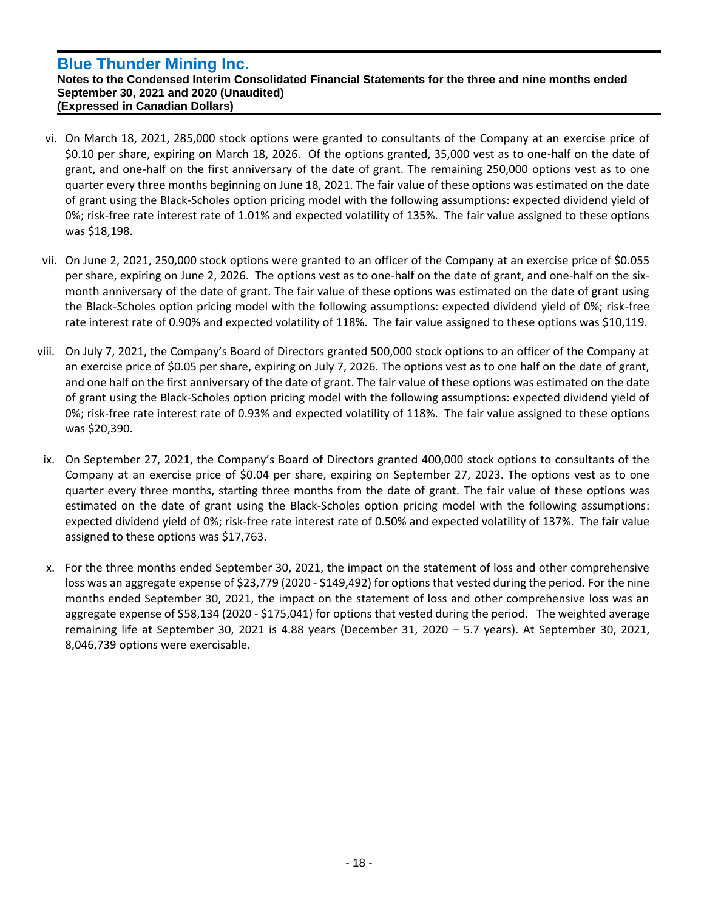`

**Notes to the Condensed Interim Consolidated Financial Statements for the three and nine months ended September 30, 2021 and 2020 (Unaudited) (Expressed in Canadian Dollars)**

- vi. On March 18, 2021, 285,000 stock options were granted to consultants of the Company at an exercise price of \$0.10 per share, expiring on March 18, 2026. Of the options granted, 35,000 vest as to one-half on the date of grant, and one-half on the first anniversary of the date of grant. The remaining 250,000 options vest as to one quarter every three months beginning on June 18, 2021. The fair value of these options was estimated on the date of grant using the Black-Scholes option pricing model with the following assumptions: expected dividend yield of 0%; risk-free rate interest rate of 1.01% and expected volatility of 135%. The fair value assigned to these options was \$18,198.
- vii. On June 2, 2021, 250,000 stock options were granted to an officer of the Company at an exercise price of \$0.055 per share, expiring on June 2, 2026. The options vest as to one-half on the date of grant, and one-half on the sixmonth anniversary of the date of grant. The fair value of these options was estimated on the date of grant using the Black-Scholes option pricing model with the following assumptions: expected dividend yield of 0%; risk-free rate interest rate of 0.90% and expected volatility of 118%. The fair value assigned to these options was \$10,119.
- viii. On July 7, 2021, the Company's Board of Directors granted 500,000 stock options to an officer of the Company at an exercise price of \$0.05 per share, expiring on July 7, 2026. The options vest as to one half on the date of grant, and one half on the first anniversary of the date of grant. The fair value of these options was estimated on the date of grant using the Black-Scholes option pricing model with the following assumptions: expected dividend yield of 0%; risk-free rate interest rate of 0.93% and expected volatility of 118%. The fair value assigned to these options was \$20,390.
- ix. On September 27, 2021, the Company's Board of Directors granted 400,000 stock options to consultants of the Company at an exercise price of \$0.04 per share, expiring on September 27, 2023. The options vest as to one quarter every three months, starting three months from the date of grant. The fair value of these options was estimated on the date of grant using the Black-Scholes option pricing model with the following assumptions: expected dividend yield of 0%; risk-free rate interest rate of 0.50% and expected volatility of 137%. The fair value assigned to these options was \$17,763.
- x. For the three months ended September 30, 2021, the impact on the statement of loss and other comprehensive loss was an aggregate expense of \$23,779 (2020 - \$149,492) for options that vested during the period. For the nine months ended September 30, 2021, the impact on the statement of loss and other comprehensive loss was an aggregate expense of \$58,134 (2020 - \$175,041) for options that vested during the period. The weighted average remaining life at September 30, 2021 is 4.88 years (December 31, 2020 – 5.7 years). At September 30, 2021, 8,046,739 options were exercisable.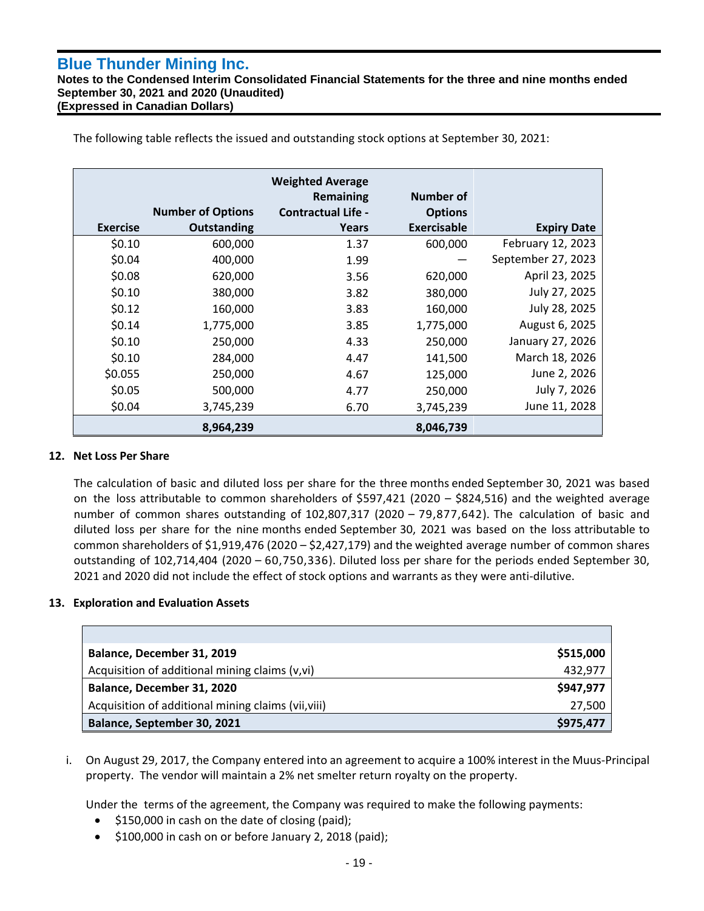`

**Notes to the Condensed Interim Consolidated Financial Statements for the three and nine months ended September 30, 2021 and 2020 (Unaudited) (Expressed in Canadian Dollars)**

**Exercise Number of Options Outstanding Weighted Average Remaining Contractual Life - Years Number of Options Exercisable Expiry Date** \$0.10 600,000 1.37 600,000 February 12, 2023 \$0.04 400,000 1.99 — September 27, 2023 \$0.08 620,000 3.56 620,000 April 23, 2025 \$0.10 380,000 3.82 380,000 July 27, 2025 \$0.12 160,000 3.83 160,000 July 28, 2025 \$0.14 1,775,000 3.85 1,775,000 August 6, 2025 \$0.10 250,000 4.33 250,000 January 27, 2026 \$0.10 284,000 4.47 141,500 March 18, 2026 \$0.055 250,000 4.67 125,000 June 2, 2026 \$0.05 500,000 4.77 250,000 July 7, 2026 \$0.04 3,745,239 6.70 3,745,239 June 11, 2028 **8,964,239 8,046,739**

The following table reflects the issued and outstanding stock options at September 30, 2021:

# **12. Net Loss Per Share**

The calculation of basic and diluted loss per share for the three months ended September 30, 2021 was based on the loss attributable to common shareholders of \$597,421 (2020 – \$824,516) and the weighted average number of common shares outstanding of 102,807,317 (2020 – 79,877,642). The calculation of basic and diluted loss per share for the nine months ended September 30, 2021 was based on the loss attributable to common shareholders of \$1,919,476 (2020 – \$2,427,179) and the weighted average number of common shares outstanding of 102,714,404 (2020 – 60,750,336). Diluted loss per share for the periods ended September 30, 2021 and 2020 did not include the effect of stock options and warrants as they were anti-dilutive.

# **13. Exploration and Evaluation Assets**

| Balance, December 31, 2019                          | \$515,000 |
|-----------------------------------------------------|-----------|
| Acquisition of additional mining claims (v,vi)      | 432,977   |
| Balance, December 31, 2020                          | \$947,977 |
| Acquisition of additional mining claims (vii, viii) | 27,500    |
| Balance, September 30, 2021                         | \$975,477 |

i. On August 29, 2017, the Company entered into an agreement to acquire a 100% interest in the Muus-Principal property. The vendor will maintain a 2% net smelter return royalty on the property.

Under the terms of the agreement, the Company was required to make the following payments:

- \$150,000 in cash on the date of closing (paid);
- \$100,000 in cash on or before January 2, 2018 (paid);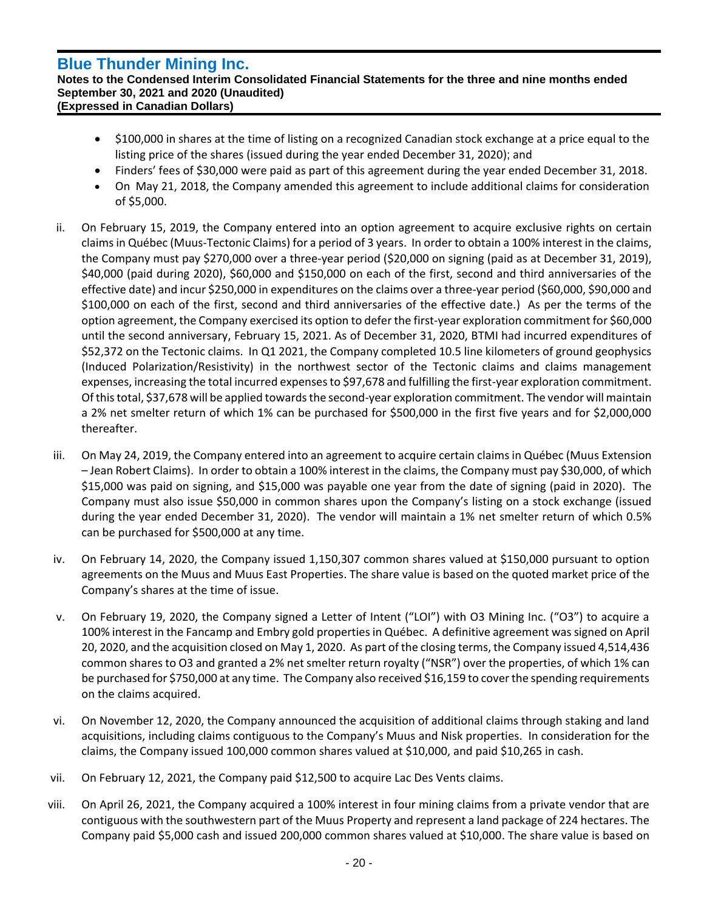`

#### **Notes to the Condensed Interim Consolidated Financial Statements for the three and nine months ended September 30, 2021 and 2020 (Unaudited) (Expressed in Canadian Dollars)**

- \$100,000 in shares at the time of listing on a recognized Canadian stock exchange at a price equal to the listing price of the shares (issued during the year ended December 31, 2020); and
- Finders' fees of \$30,000 were paid as part of this agreement during the year ended December 31, 2018.
- On May 21, 2018, the Company amended this agreement to include additional claims for consideration of \$5,000.
- ii. On February 15, 2019, the Company entered into an option agreement to acquire exclusive rights on certain claims in Québec (Muus-Tectonic Claims) for a period of 3 years. In order to obtain a 100% interest in the claims, the Company must pay \$270,000 over a three-year period (\$20,000 on signing (paid as at December 31, 2019), \$40,000 (paid during 2020), \$60,000 and \$150,000 on each of the first, second and third anniversaries of the effective date) and incur \$250,000 in expenditures on the claims over a three-year period (\$60,000, \$90,000 and \$100,000 on each of the first, second and third anniversaries of the effective date.) As per the terms of the option agreement, the Company exercised its option to defer the first-year exploration commitment for \$60,000 until the second anniversary, February 15, 2021. As of December 31, 2020, BTMI had incurred expenditures of \$52,372 on the Tectonic claims. In Q1 2021, the Company completed 10.5 line kilometers of ground geophysics (Induced Polarization/Resistivity) in the northwest sector of the Tectonic claims and claims management expenses, increasing the total incurred expenses to \$97,678 and fulfilling the first-year exploration commitment. Of this total, \$37,678 will be applied towards the second-year exploration commitment. The vendor will maintain a 2% net smelter return of which 1% can be purchased for \$500,000 in the first five years and for \$2,000,000 thereafter.
- iii. On May 24, 2019, the Company entered into an agreement to acquire certain claims in Québec (Muus Extension – Jean Robert Claims). In order to obtain a 100% interest in the claims, the Company must pay \$30,000, of which \$15,000 was paid on signing, and \$15,000 was payable one year from the date of signing (paid in 2020). The Company must also issue \$50,000 in common shares upon the Company's listing on a stock exchange (issued during the year ended December 31, 2020). The vendor will maintain a 1% net smelter return of which 0.5% can be purchased for \$500,000 at any time.
- iv. On February 14, 2020, the Company issued 1,150,307 common shares valued at \$150,000 pursuant to option agreements on the Muus and Muus East Properties. The share value is based on the quoted market price of the Company's shares at the time of issue.
- v. On February 19, 2020, the Company signed a Letter of Intent ("LOI") with O3 Mining Inc. ("O3") to acquire a 100% interest in the Fancamp and Embry gold properties in Québec. A definitive agreement was signed on April 20, 2020, and the acquisition closed on May 1, 2020. As part of the closing terms, the Company issued 4,514,436 common shares to O3 and granted a 2% net smelter return royalty ("NSR") over the properties, of which 1% can be purchased for \$750,000 at any time. The Company also received \$16,159 to cover the spending requirements on the claims acquired.
- vi. On November 12, 2020, the Company announced the acquisition of additional claims through staking and land acquisitions, including claims contiguous to the Company's Muus and Nisk properties. In consideration for the claims, the Company issued 100,000 common shares valued at \$10,000, and paid \$10,265 in cash.
- vii. On February 12, 2021, the Company paid \$12,500 to acquire Lac Des Vents claims.
- viii. On April 26, 2021, the Company acquired a 100% interest in four mining claims from a private vendor that are contiguous with the southwestern part of the Muus Property and represent a land package of 224 hectares. The Company paid \$5,000 cash and issued 200,000 common shares valued at \$10,000. The share value is based on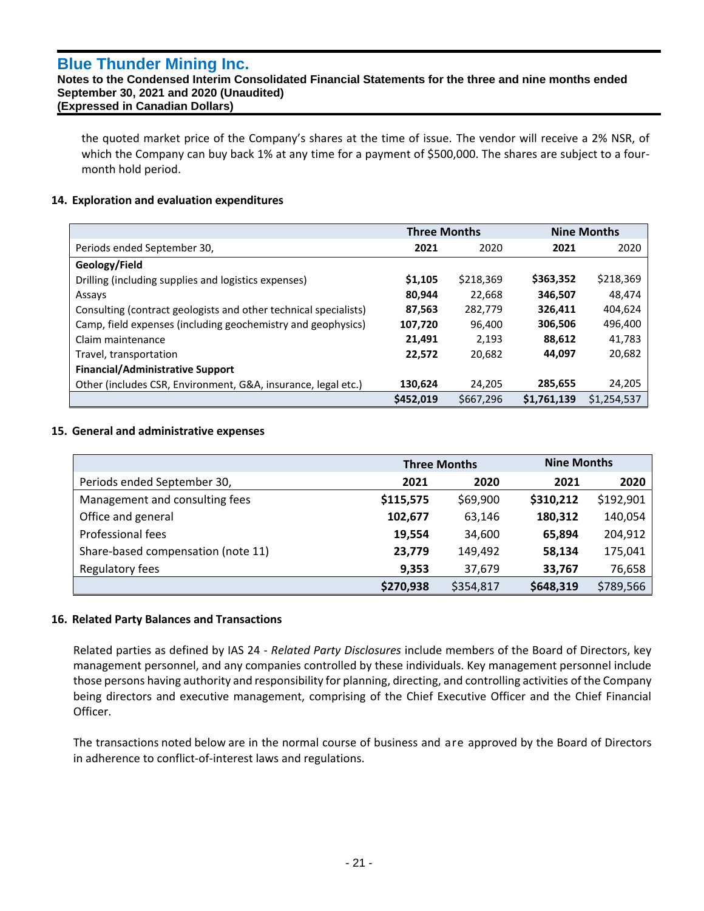`

#### **Notes to the Condensed Interim Consolidated Financial Statements for the three and nine months ended September 30, 2021 and 2020 (Unaudited) (Expressed in Canadian Dollars)**

the quoted market price of the Company's shares at the time of issue. The vendor will receive a 2% NSR, of which the Company can buy back 1% at any time for a payment of \$500,000. The shares are subject to a fourmonth hold period.

# **14. Exploration and evaluation expenditures**

|                                                                  | <b>Three Months</b> |           | <b>Nine Months</b> |             |
|------------------------------------------------------------------|---------------------|-----------|--------------------|-------------|
| Periods ended September 30,                                      | 2021                | 2020      | 2021               | 2020        |
| Geology/Field                                                    |                     |           |                    |             |
| Drilling (including supplies and logistics expenses)             | \$1,105             | \$218,369 | \$363,352          | \$218,369   |
| Assays                                                           | 80,944              | 22,668    | 346,507            | 48,474      |
| Consulting (contract geologists and other technical specialists) | 87,563              | 282,779   | 326,411            | 404,624     |
| Camp, field expenses (including geochemistry and geophysics)     | 107,720             | 96,400    | 306,506            | 496,400     |
| Claim maintenance                                                | 21,491              | 2,193     | 88,612             | 41,783      |
| Travel, transportation                                           | 22,572              | 20,682    | 44,097             | 20,682      |
| <b>Financial/Administrative Support</b>                          |                     |           |                    |             |
| Other (includes CSR, Environment, G&A, insurance, legal etc.)    | 130,624             | 24.205    | 285,655            | 24,205      |
|                                                                  | \$452.019           | \$667.296 | \$1,761,139        | \$1,254,537 |

#### **15. General and administrative expenses**

|                                    | <b>Three Months</b> |           | <b>Nine Months</b> |           |
|------------------------------------|---------------------|-----------|--------------------|-----------|
| Periods ended September 30,        | 2021                | 2020      | 2021               | 2020      |
| Management and consulting fees     | \$115,575           | \$69,900  | \$310,212          | \$192,901 |
| Office and general                 | 102,677             | 63,146    | 180,312            | 140,054   |
| <b>Professional fees</b>           | 19,554              | 34,600    | 65,894             | 204,912   |
| Share-based compensation (note 11) | 23,779              | 149,492   | 58,134             | 175,041   |
| Regulatory fees                    | 9,353               | 37,679    | 33,767             | 76,658    |
|                                    | \$270,938           | \$354,817 | \$648,319          | \$789,566 |

#### **16. Related Party Balances and Transactions**

Related parties as defined by IAS 24 - *Related Party Disclosures* include members of the Board of Directors, key management personnel, and any companies controlled by these individuals. Key management personnel include those persons having authority and responsibility for planning, directing, and controlling activities of the Company being directors and executive management, comprising of the Chief Executive Officer and the Chief Financial Officer.

The transactions noted below are in the normal course of business and are approved by the Board of Directors in adherence to conflict-of-interest laws and regulations.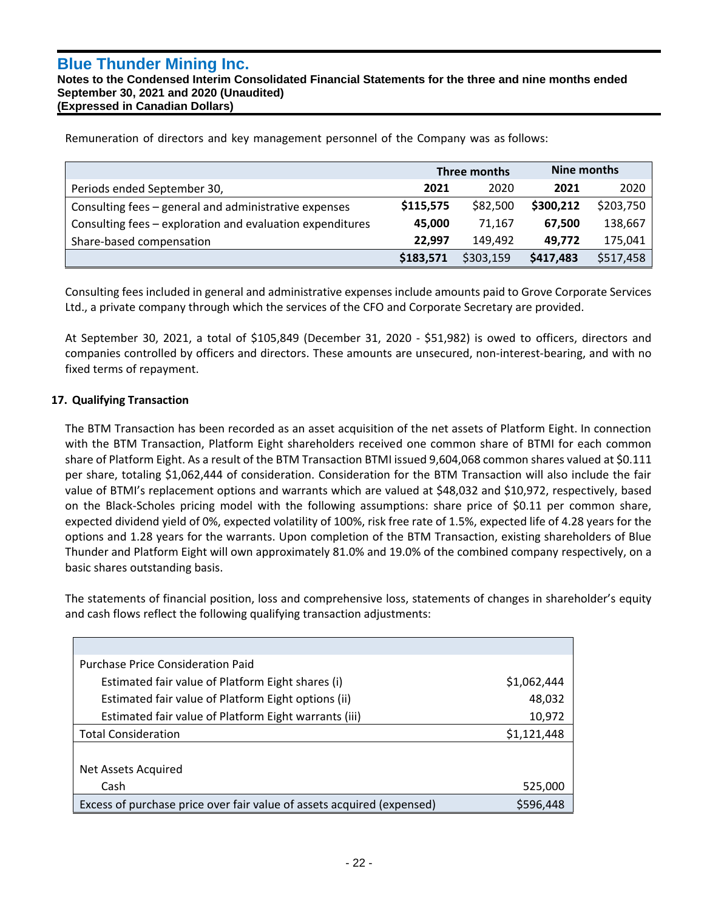`

**Notes to the Condensed Interim Consolidated Financial Statements for the three and nine months ended September 30, 2021 and 2020 (Unaudited) (Expressed in Canadian Dollars)**

Remuneration of directors and key management personnel of the Company was as follows:

|                                                           | Three months |           | Nine months |           |
|-----------------------------------------------------------|--------------|-----------|-------------|-----------|
| Periods ended September 30,                               | 2021         | 2020      | 2021        | 2020      |
| Consulting fees - general and administrative expenses     | \$115,575    | \$82,500  | \$300,212   | \$203,750 |
| Consulting fees - exploration and evaluation expenditures | 45.000       | 71.167    | 67.500      | 138,667   |
| Share-based compensation                                  | 22.997       | 149.492   | 49.772      | 175,041   |
|                                                           | \$183,571    | \$303,159 | \$417,483   | \$517,458 |

Consulting fees included in general and administrative expenses include amounts paid to Grove Corporate Services Ltd., a private company through which the services of the CFO and Corporate Secretary are provided.

At September 30, 2021, a total of \$105,849 (December 31, 2020 - \$51,982) is owed to officers, directors and companies controlled by officers and directors. These amounts are unsecured, non-interest-bearing, and with no fixed terms of repayment.

# **17. Qualifying Transaction**

The BTM Transaction has been recorded as an asset acquisition of the net assets of Platform Eight. In connection with the BTM Transaction, Platform Eight shareholders received one common share of BTMI for each common share of Platform Eight. As a result of the BTM Transaction BTMI issued 9,604,068 common shares valued at \$0.111 per share, totaling \$1,062,444 of consideration. Consideration for the BTM Transaction will also include the fair value of BTMI's replacement options and warrants which are valued at \$48,032 and \$10,972, respectively, based on the Black-Scholes pricing model with the following assumptions: share price of \$0.11 per common share, expected dividend yield of 0%, expected volatility of 100%, risk free rate of 1.5%, expected life of 4.28 years for the options and 1.28 years for the warrants. Upon completion of the BTM Transaction, existing shareholders of Blue Thunder and Platform Eight will own approximately 81.0% and 19.0% of the combined company respectively, on a basic shares outstanding basis.

The statements of financial position, loss and comprehensive loss, statements of changes in shareholder's equity and cash flows reflect the following qualifying transaction adjustments:

| <b>Purchase Price Consideration Paid</b>                               |             |
|------------------------------------------------------------------------|-------------|
| Estimated fair value of Platform Eight shares (i)                      | \$1,062,444 |
| Estimated fair value of Platform Eight options (ii)                    | 48,032      |
| Estimated fair value of Platform Eight warrants (iii)                  | 10,972      |
| <b>Total Consideration</b>                                             | \$1,121,448 |
|                                                                        |             |
| Net Assets Acquired                                                    |             |
| Cash                                                                   | 525,000     |
| Excess of purchase price over fair value of assets acquired (expensed) | \$596,448   |